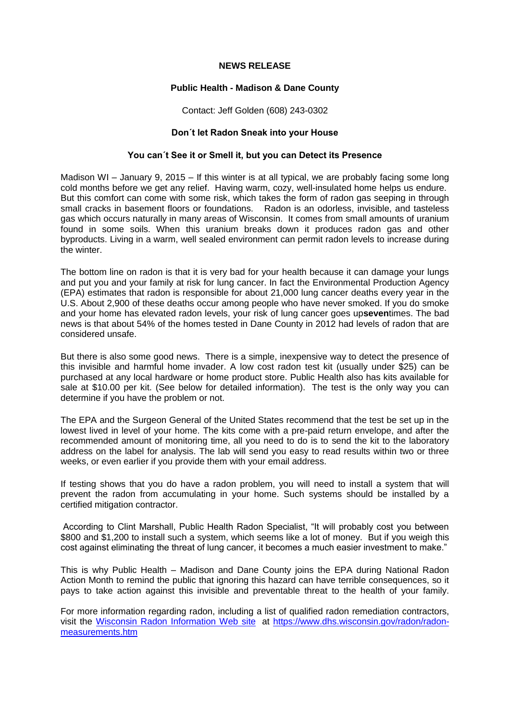## **NEWS RELEASE**

## **Public Health - Madison & Dane County**

Contact: Jeff Golden (608) 243-0302

## **Don´t let Radon Sneak into your House**

## **You can´t See it or Smell it, but you can Detect its Presence**

Madison WI – January 9, 2015 – If this winter is at all typical, we are probably facing some long cold months before we get any relief. Having warm, cozy, well-insulated home helps us endure. But this comfort can come with some risk, which takes the form of radon gas seeping in through small cracks in basement floors or foundations. Radon is an odorless, invisible, and tasteless gas which occurs naturally in many areas of Wisconsin. It comes from small amounts of uranium found in some soils. When this uranium breaks down it produces radon gas and other byproducts. Living in a warm, well sealed environment can permit radon levels to increase during the winter.

The bottom line on radon is that it is very bad for your health because it can damage your lungs and put you and your family at risk for lung cancer. In fact the Environmental Production Agency (EPA) estimates that radon is responsible for about 21,000 lung cancer deaths every year in the U.S. About 2,900 of these deaths occur among people who have never smoked. If you do smoke and your home has elevated radon levels, your risk of lung cancer goes up**seven**times. The bad news is that about 54% of the homes tested in Dane County in 2012 had levels of radon that are considered unsafe.

But there is also some good news. There is a simple, inexpensive way to detect the presence of this invisible and harmful home invader. A low cost radon test kit (usually under \$25) can be purchased at any local hardware or home product store. Public Health also has kits available for sale at \$10.00 per kit. (See below for detailed information). The test is the only way you can determine if you have the problem or not.

The EPA and the Surgeon General of the United States recommend that the test be set up in the lowest lived in level of your home. The kits come with a pre-paid return envelope, and after the recommended amount of monitoring time, all you need to do is to send the kit to the laboratory address on the label for analysis. The lab will send you easy to read results within two or three weeks, or even earlier if you provide them with your email address.

If testing shows that you do have a radon problem, you will need to install a system that will prevent the radon from accumulating in your home. Such systems should be installed by a certified mitigation contractor.

According to Clint Marshall, Public Health Radon Specialist, "It will probably cost you between \$800 and \$1,200 to install such a system, which seems like a lot of money. But if you weigh this cost against eliminating the threat of lung cancer, it becomes a much easier investment to make."

This is why Public Health – Madison and Dane County joins the EPA during National Radon Action Month to remind the public that ignoring this hazard can have terrible consequences, so it pays to take action against this invisible and preventable threat to the health of your family.

For more information regarding radon, including a list of qualified radon remediation contractors, visit the [Wisconsin Radon Information Web site](http://www.lowradon.org/) at [https://www.dhs.wisconsin.gov/radon/radon](https://www.dhs.wisconsin.gov/radon/radon-measurements.htm)[measurements.htm](https://www.dhs.wisconsin.gov/radon/radon-measurements.htm)